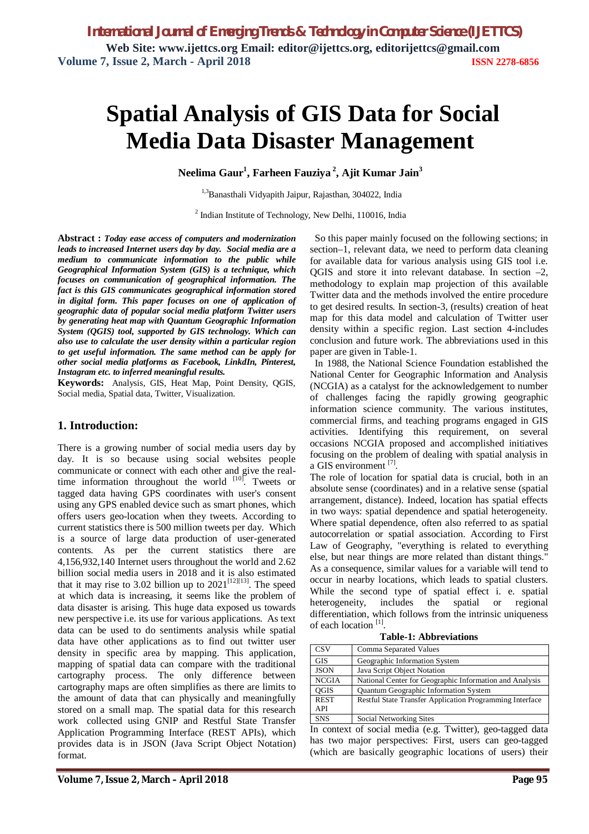# **Spatial Analysis of GIS Data for Social Media Data Disaster Management**

**Neelima Gaur<sup>1</sup> , Farheen Fauziya 2 , Ajit Kumar Jain<sup>3</sup>**

1,3Banasthali Vidyapith Jaipur, Rajasthan, 304022, India

<sup>2</sup> Indian Institute of Technology, New Delhi, 110016, India

**Abstract :** *Today ease access of computers and modernization leads to increased Internet users day by day. Social media are a medium to communicate information to the public while Geographical Information System (GIS) is a technique, which focuses on communication of geographical information. The fact is this GIS communicates geographical information stored in digital form. This paper focuses on one of application of geographic data of popular social media platform Twitter users by generating heat map with Quantum Geographic Information System (QGIS) tool, supported by GIS technology. Which can also use to calculate the user density within a particular region to get useful information. The same method can be apply for other social media platforms as Facebook, LinkdIn, Pinterest, Instagram etc. to inferred meaningful results.*

**Keywords:** Analysis, GIS, Heat Map, Point Density, QGIS, Social media, Spatial data, Twitter, Visualization.

## **1. Introduction:**

There is a growing number of social media users day by day. It is so because using social websites people communicate or connect with each other and give the realtime information throughout the world  $[10]$ . Tweets or tagged data having GPS coordinates with user's consent using any GPS enabled device such as smart phones, which offers users geo-location when they tweets. According to current statistics there is 500 million tweets per day. Which is a source of large data production of user-generated contents. As per the current statistics there are 4,156,932,140 Internet users throughout the world and 2.62 billion social media users in 2018 and it is also estimated that it may rise to 3.02 billion up to  $2021^{[12][13]}$ . The speed at which data is increasing, it seems like the problem of data disaster is arising. This huge data exposed us towards new perspective i.e. its use for various applications. As text data can be used to do sentiments analysis while spatial data have other applications as to find out twitter user density in specific area by mapping. This application, mapping of spatial data can compare with the traditional cartography process. The only difference between cartography maps are often simplifies as there are limits to the amount of data that can physically and meaningfully stored on a small map. The spatial data for this research work collected using GNIP and Restful State Transfer Application Programming Interface (REST APIs), which provides data is in JSON (Java Script Object Notation) format.

 So this paper mainly focused on the following sections; in section–1, relevant data, we need to perform data cleaning for available data for various analysis using GIS tool i.e. OGIS and store it into relevant database. In section  $-2$ , methodology to explain map projection of this available Twitter data and the methods involved the entire procedure to get desired results. In section-3, (results) creation of heat map for this data model and calculation of Twitter user density within a specific region. Last section 4-includes conclusion and future work. The abbreviations used in this paper are given in Table-1.

 In 1988, the National Science Foundation established the National Center for Geographic Information and Analysis (NCGIA) as a catalyst for the acknowledgement to number of challenges facing the rapidly growing geographic information science community. The various institutes, commercial firms, and teaching programs engaged in GIS activities. Identifying this requirement, on several occasions NCGIA proposed and accomplished initiatives focusing on the problem of dealing with spatial analysis in a GIS environment<sup>[7]</sup>.

The role of location for spatial data is crucial, both in an absolute sense (coordinates) and in a relative sense (spatial arrangement, distance). Indeed, location has spatial effects in two ways: spatial dependence and spatial heterogeneity. Where spatial dependence, often also referred to as spatial autocorrelation or spatial association. According to First Law of Geography, "everything is related to everything else, but near things are more related than distant things." As a consequence, similar values for a variable will tend to occur in nearby locations, which leads to spatial clusters. While the second type of spatial effect i. e. spatial heterogeneity, includes the spatial or regional differentiation, which follows from the intrinsic uniqueness of each location<sup>[1]</sup>.

**Table-1: Abbreviations**

| <b>CSV</b>   | Comma Separated Values                                   |
|--------------|----------------------------------------------------------|
| <b>GIS</b>   | Geographic Information System                            |
| <b>JSON</b>  | Java Script Object Notation                              |
| <b>NCGIA</b> | National Center for Geographic Information and Analysis  |
| <b>OGIS</b>  | Quantum Geographic Information System                    |
| <b>REST</b>  | Restful State Transfer Application Programming Interface |
| <b>API</b>   |                                                          |
| <b>SNS</b>   | Social Networking Sites                                  |

In context of social media (e.g. Twitter), geo-tagged data has two major perspectives: First, users can geo-tagged (which are basically geographic locations of users) their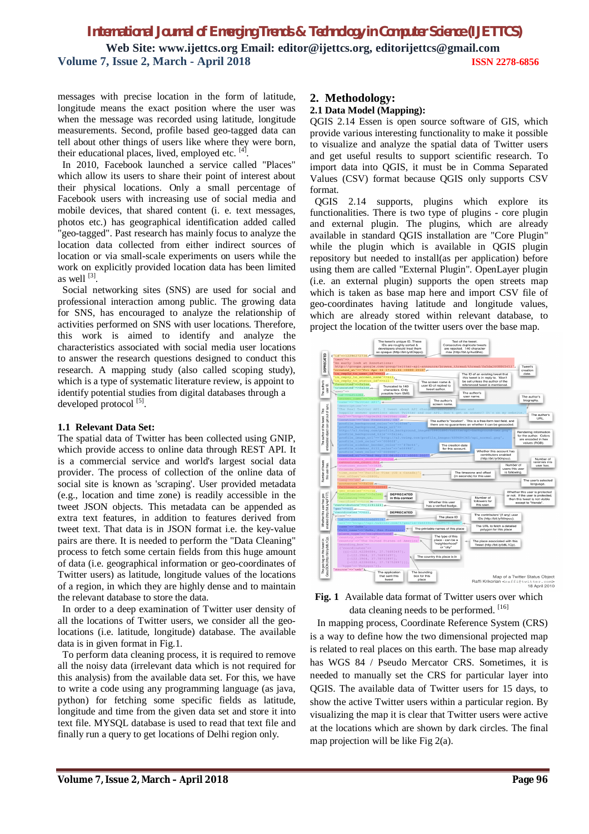messages with precise location in the form of latitude, longitude means the exact position where the user was when the message was recorded using latitude, longitude measurements. Second, profile based geo-tagged data can tell about other things of users like where they were born, their educational places, lived, employed etc. [4].

 In 2010, Facebook launched a service called "Places" which allow its users to share their point of interest about their physical locations. Only a small percentage of Facebook users with increasing use of social media and mobile devices, that shared content (i. e. text messages, photos etc.) has geographical identification added called "geo-tagged". Past research has mainly focus to analyze the location data collected from either indirect sources of location or via small-scale experiments on users while the work on explicitly provided location data has been limited as well  $^{[3]}$ .

 Social networking sites (SNS) are used for social and professional interaction among public. The growing data for SNS, has encouraged to analyze the relationship of activities performed on SNS with user locations. Therefore, this work is aimed to identify and analyze the characteristics associated with social media user locations to answer the research questions designed to conduct this research. A mapping study (also called scoping study), which is a type of systematic literature review, is appoint to identify potential studies from digital databases through a developed protocol<sup>[5]</sup>.

## **1.1 Relevant Data Set:**

The spatial data of Twitter has been collected using GNIP, which provide access to online data through REST API. It is a commercial service and world's largest social data provider. The process of collection of the online data of social site is known as 'scraping'. User provided metadata (e.g., location and time zone) is readily accessible in the tweet JSON objects. This metadata can be appended as extra text features, in addition to features derived from tweet text. That data is in JSON format i.e. the key-value pairs are there. It is needed to perform the "Data Cleaning" process to fetch some certain fields from this huge amount of data (i.e. geographical information or geo-coordinates of Twitter users) as latitude, longitude values of the locations of a region, in which they are highly dense and to maintain the relevant database to store the data.

 In order to a deep examination of Twitter user density of all the locations of Twitter users, we consider all the geolocations (i.e. latitude, longitude) database. The available data is in given format in Fig.1.

 To perform data cleaning process, it is required to remove all the noisy data (irrelevant data which is not required for this analysis) from the available data set. For this, we have to write a code using any programming language (as java, python) for fetching some specific fields as latitude, longitude and time from the given data set and store it into text file. MYSQL database is used to read that text file and finally run a query to get locations of Delhi region only.

## **2. Methodology:**

## **2.1 Data Model (Mapping):**

QGIS 2.14 Essen is open source software of GIS, which provide various interesting functionality to make it possible to visualize and analyze the spatial data of Twitter users and get useful results to support scientific research. To import data into QGIS, it must be in Comma Separated Values (CSV) format because QGIS only supports CSV format.

 QGIS 2.14 supports, plugins which explore its functionalities. There is two type of plugins - core plugin and external plugin. The plugins, which are already available in standard QGIS installation are "Core Plugin" while the plugin which is available in OGIS plugin repository but needed to install(as per application) before using them are called "External Plugin". OpenLayer plugin (i.e. an external plugin) supports the open streets map which is taken as base map here and import CSV file of geo-coordinates having latitude and longitude values, which are already stored within relevant database, to project the location of the twitter users over the base map.



**Fig. 1** Available data format of Twitter users over which data cleaning needs to be performed. [16]

 In mapping process, Coordinate Reference System (CRS) is a way to define how the two dimensional projected map is related to real places on this earth. The base map already has WGS 84 / Pseudo Mercator CRS. Sometimes, it is needed to manually set the CRS for particular layer into QGIS. The available data of Twitter users for 15 days, to show the active Twitter users within a particular region. By visualizing the map it is clear that Twitter users were active at the locations which are shown by dark circles. The final map projection will be like Fig 2(a).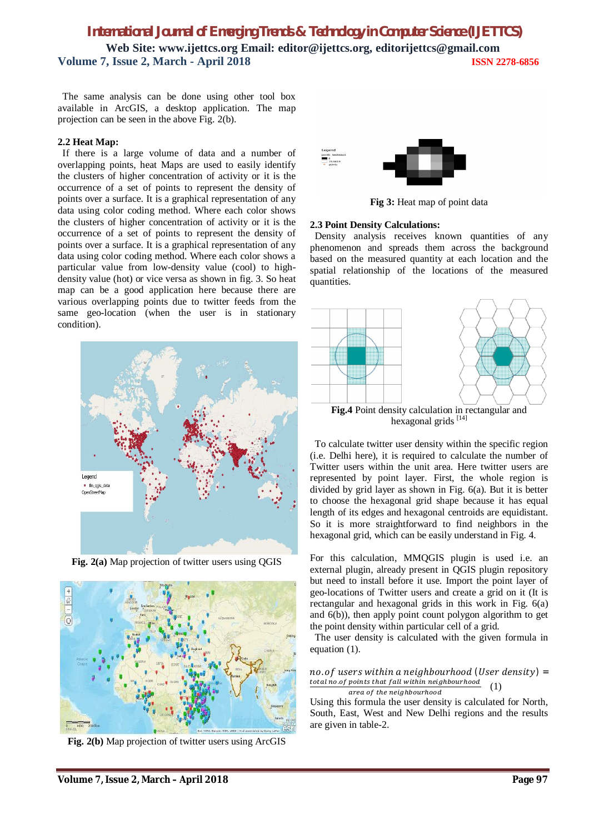The same analysis can be done using other tool box available in ArcGIS, a desktop application. The map projection can be seen in the above Fig. 2(b).

## **2.2 Heat Map:**

 If there is a large volume of data and a number of overlapping points, heat Maps are used to easily identify the clusters of higher concentration of activity or it is the occurrence of a set of points to represent the density of points over a surface. It is a graphical representation of any data using color coding method. Where each color shows the clusters of higher concentration of activity or it is the occurrence of a set of points to represent the density of points over a surface. It is a graphical representation of any data using color coding method. Where each color shows a particular value from low-density value (cool) to highdensity value (hot) or vice versa as shown in fig. 3. So heat map can be a good application here because there are various overlapping points due to twitter feeds from the same geo-location (when the user is in stationary condition).



**Fig. 2(a)** Map projection of twitter users using QGIS



**Fig. 2(b)** Map projection of twitter users using ArcGIS



**Fig 3:** Heat map of point data

### **2.3 Point Density Calculations:**

Density analysis receives known quantities of any phenomenon and spreads them across the background based on the measured quantity at each location and the spatial relationship of the locations of the measured quantities.



 To calculate twitter user density within the specific region (i.e. Delhi here), it is required to calculate the number of Twitter users within the unit area. Here twitter users are represented by point layer. First, the whole region is divided by grid layer as shown in Fig. 6(a). But it is better to choose the hexagonal grid shape because it has equal length of its edges and hexagonal centroids are equidistant. So it is more straightforward to find neighbors in the hexagonal grid, which can be easily understand in Fig. 4.

For this calculation, MMQGIS plugin is used i.e. an external plugin, already present in QGIS plugin repository but need to install before it use. Import the point layer of geo-locations of Twitter users and create a grid on it (It is rectangular and hexagonal grids in this work in Fig. 6(a) and 6(b)), then apply point count polygon algorithm to get the point density within particular cell of a grid.

 The user density is calculated with the given formula in equation (1).

#### $no. of users within a neighborhood (User density) =$ total no.of points that fall within neighbourhood area of the neighbourhood (1)

Using this formula the user density is calculated for North, South, East, West and New Delhi regions and the results are given in table-2.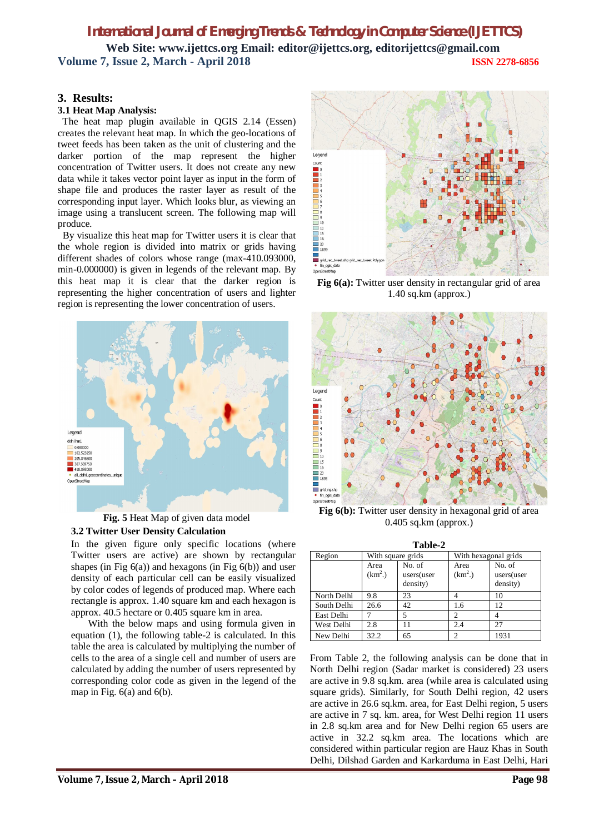## **3. Results:**

## **3.1 Heat Map Analysis:**

 The heat map plugin available in QGIS 2.14 (Essen) creates the relevant heat map. In which the geo-locations of tweet feeds has been taken as the unit of clustering and the darker portion of the map represent the higher concentration of Twitter users. It does not create any new data while it takes vector point layer as input in the form of shape file and produces the raster layer as result of the corresponding input layer. Which looks blur, as viewing an image using a translucent screen. The following map will produce.

 By visualize this heat map for Twitter users it is clear that the whole region is divided into matrix or grids having different shades of colors whose range (max-410.093000, min-0.000000) is given in legends of the relevant map. By this heat map it is clear that the darker region is representing the higher concentration of users and lighter region is representing the lower concentration of users.



**Fig. 5** Heat Map of given data model **3.2 Twitter User Density Calculation**

In the given figure only specific locations (where Twitter users are active) are shown by rectangular shapes (in Fig  $6(a)$ ) and hexagons (in Fig  $6(b)$ ) and user density of each particular cell can be easily visualized by color codes of legends of produced map. Where each rectangle is approx. 1.40 square km and each hexagon is approx. 40.5 hectare or 0.405 square km in area.

 With the below maps and using formula given in equation (1), the following table-2 is calculated. In this table the area is calculated by multiplying the number of cells to the area of a single cell and number of users are calculated by adding the number of users represented by corresponding color code as given in the legend of the map in Fig.  $6(a)$  and  $6(b)$ .



**Fig 6(a):** Twitter user density in rectangular grid of area 1.40 sq.km (approx.)



**Fig 6(b):** Twitter user density in hexagonal grid of area 0.405 sq.km (approx.)

| Table-2     |                   |                                  |                      |                                  |  |  |
|-------------|-------------------|----------------------------------|----------------------|----------------------------------|--|--|
| Region      | With square grids |                                  | With hexagonal grids |                                  |  |  |
|             | Area<br>$(km^2)$  | No. of<br>users(user<br>density) | Area<br>$(km^2)$     | No. of<br>users(user<br>density) |  |  |
| North Delhi | 9.8               | 23                               |                      | 10                               |  |  |
| South Delhi | 26.6              | 42                               | 1.6                  | 12.                              |  |  |
| East Delhi  |                   | 5                                | 2                    |                                  |  |  |
| West Delhi  | 2.8               | 11                               | 2.4                  | 27                               |  |  |
| New Delhi   | 32.2              | 65                               | 2                    | 1931                             |  |  |

From Table 2, the following analysis can be done that in North Delhi region (Sadar market is considered) 23 users are active in 9.8 sq.km. area (while area is calculated using square grids). Similarly, for South Delhi region, 42 users are active in 26.6 sq.km. area, for East Delhi region, 5 users are active in 7 sq. km. area, for West Delhi region 11 users in 2.8 sq.km area and for New Delhi region 65 users are active in 32.2 sq.km area. The locations which are considered within particular region are Hauz Khas in South Delhi, Dilshad Garden and Karkarduma in East Delhi, Hari